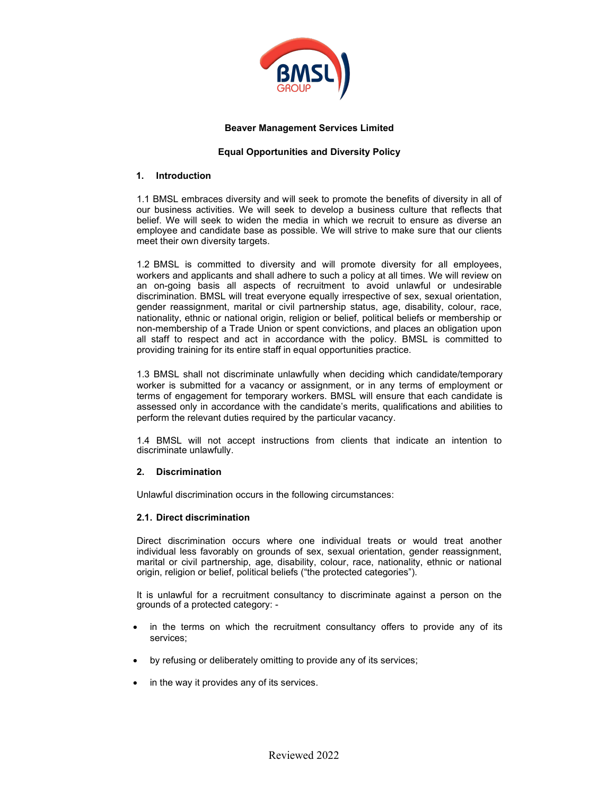

### Beaver Management Services Limited

# Equal Opportunities and Diversity Policy

### 1. Introduction

1.1 BMSL embraces diversity and will seek to promote the benefits of diversity in all of our business activities. We will seek to develop a business culture that reflects that belief. We will seek to widen the media in which we recruit to ensure as diverse an employee and candidate base as possible. We will strive to make sure that our clients meet their own diversity targets.

1.2 BMSL is committed to diversity and will promote diversity for all employees, workers and applicants and shall adhere to such a policy at all times. We will review on an on-going basis all aspects of recruitment to avoid unlawful or undesirable discrimination. BMSL will treat everyone equally irrespective of sex, sexual orientation, gender reassignment, marital or civil partnership status, age, disability, colour, race, nationality, ethnic or national origin, religion or belief, political beliefs or membership or non-membership of a Trade Union or spent convictions, and places an obligation upon all staff to respect and act in accordance with the policy. BMSL is committed to providing training for its entire staff in equal opportunities practice.

1.3 BMSL shall not discriminate unlawfully when deciding which candidate/temporary worker is submitted for a vacancy or assignment, or in any terms of employment or terms of engagement for temporary workers. BMSL will ensure that each candidate is assessed only in accordance with the candidate's merits, qualifications and abilities to perform the relevant duties required by the particular vacancy.

1.4 BMSL will not accept instructions from clients that indicate an intention to discriminate unlawfully.

### 2. Discrimination

Unlawful discrimination occurs in the following circumstances:

### 2.1. Direct discrimination

Direct discrimination occurs where one individual treats or would treat another individual less favorably on grounds of sex, sexual orientation, gender reassignment, marital or civil partnership, age, disability, colour, race, nationality, ethnic or national origin, religion or belief, political beliefs ("the protected categories").

It is unlawful for a recruitment consultancy to discriminate against a person on the grounds of a protected category: -

- in the terms on which the recruitment consultancy offers to provide any of its services;
- by refusing or deliberately omitting to provide any of its services;
- in the way it provides any of its services.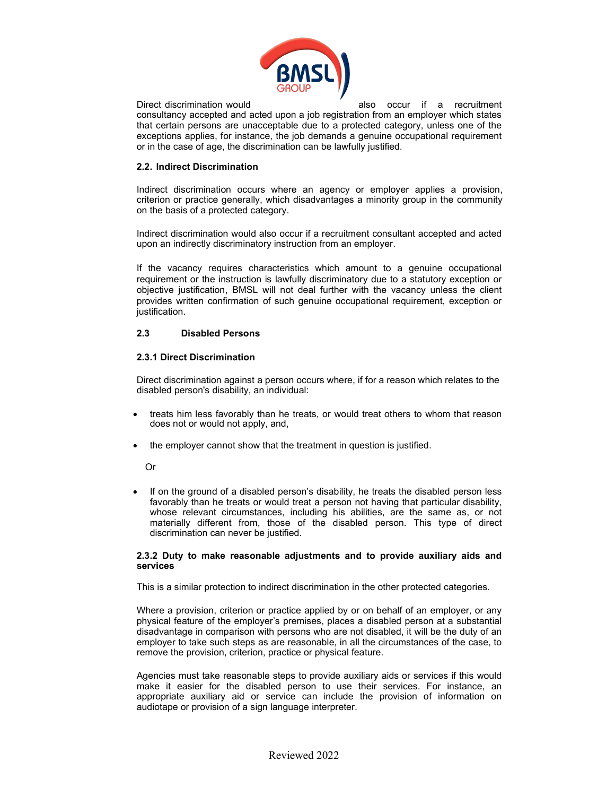

Direct discrimination would also occur if a recruitment consultancy accepted and acted upon a job registration from an employer which states that certain persons are unacceptable due to a protected category, unless one of the exceptions applies, for instance, the job demands a genuine occupational requirement or in the case of age, the discrimination can be lawfully justified.

## 2.2. Indirect Discrimination

Indirect discrimination occurs where an agency or employer applies a provision, criterion or practice generally, which disadvantages a minority group in the community on the basis of a protected category.

Indirect discrimination would also occur if a recruitment consultant accepted and acted upon an indirectly discriminatory instruction from an employer.

If the vacancy requires characteristics which amount to a genuine occupational requirement or the instruction is lawfully discriminatory due to a statutory exception or objective justification, BMSL will not deal further with the vacancy unless the client provides written confirmation of such genuine occupational requirement, exception or justification.

### 2.3 Disabled Persons

## 2.3.1 Direct Discrimination

Direct discrimination against a person occurs where, if for a reason which relates to the disabled person's disability, an individual:

- treats him less favorably than he treats, or would treat others to whom that reason does not or would not apply, and,
- the employer cannot show that the treatment in question is justified.

Or

 If on the ground of a disabled person's disability, he treats the disabled person less favorably than he treats or would treat a person not having that particular disability, whose relevant circumstances, including his abilities, are the same as, or not materially different from, those of the disabled person. This type of direct discrimination can never be justified.

### 2.3.2 Duty to make reasonable adjustments and to provide auxiliary aids and services

This is a similar protection to indirect discrimination in the other protected categories.

Where a provision, criterion or practice applied by or on behalf of an employer, or any physical feature of the employer's premises, places a disabled person at a substantial disadvantage in comparison with persons who are not disabled, it will be the duty of an employer to take such steps as are reasonable, in all the circumstances of the case, to remove the provision, criterion, practice or physical feature.

Agencies must take reasonable steps to provide auxiliary aids or services if this would make it easier for the disabled person to use their services. For instance, an appropriate auxiliary aid or service can include the provision of information on audiotape or provision of a sign language interpreter.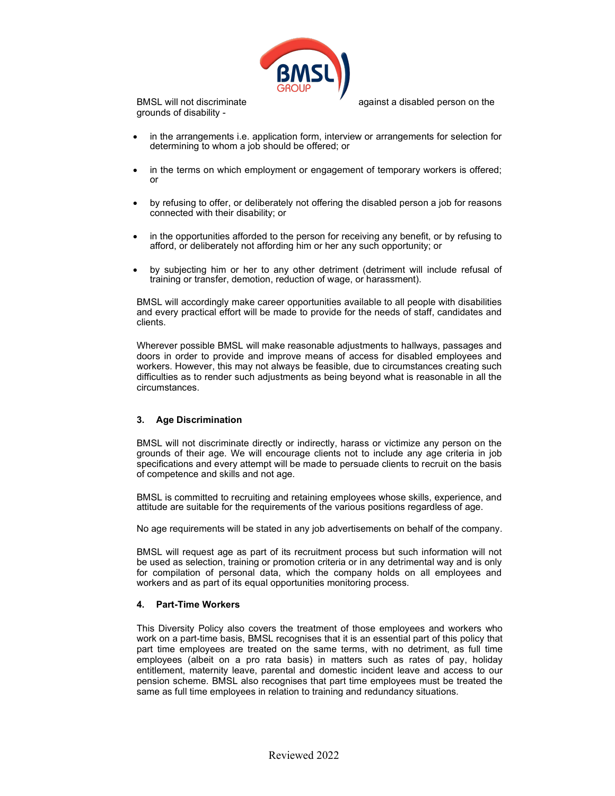

grounds of disability -

BMSL will not discriminate and against a disabled person on the

- in the arrangements i.e. application form, interview or arrangements for selection for determining to whom a job should be offered; or
- in the terms on which employment or engagement of temporary workers is offered; or
- by refusing to offer, or deliberately not offering the disabled person a job for reasons connected with their disability; or
- in the opportunities afforded to the person for receiving any benefit, or by refusing to afford, or deliberately not affording him or her any such opportunity; or
- by subjecting him or her to any other detriment (detriment will include refusal of training or transfer, demotion, reduction of wage, or harassment).

BMSL will accordingly make career opportunities available to all people with disabilities and every practical effort will be made to provide for the needs of staff, candidates and clients.

Wherever possible BMSL will make reasonable adjustments to hallways, passages and doors in order to provide and improve means of access for disabled employees and workers. However, this may not always be feasible, due to circumstances creating such difficulties as to render such adjustments as being beyond what is reasonable in all the circumstances.

# 3. Age Discrimination

BMSL will not discriminate directly or indirectly, harass or victimize any person on the grounds of their age. We will encourage clients not to include any age criteria in job specifications and every attempt will be made to persuade clients to recruit on the basis of competence and skills and not age.

BMSL is committed to recruiting and retaining employees whose skills, experience, and attitude are suitable for the requirements of the various positions regardless of age.

No age requirements will be stated in any job advertisements on behalf of the company.

BMSL will request age as part of its recruitment process but such information will not be used as selection, training or promotion criteria or in any detrimental way and is only for compilation of personal data, which the company holds on all employees and workers and as part of its equal opportunities monitoring process.

### 4. Part-Time Workers

This Diversity Policy also covers the treatment of those employees and workers who work on a part-time basis, BMSL recognises that it is an essential part of this policy that part time employees are treated on the same terms, with no detriment, as full time employees (albeit on a pro rata basis) in matters such as rates of pay, holiday entitlement, maternity leave, parental and domestic incident leave and access to our pension scheme. BMSL also recognises that part time employees must be treated the same as full time employees in relation to training and redundancy situations.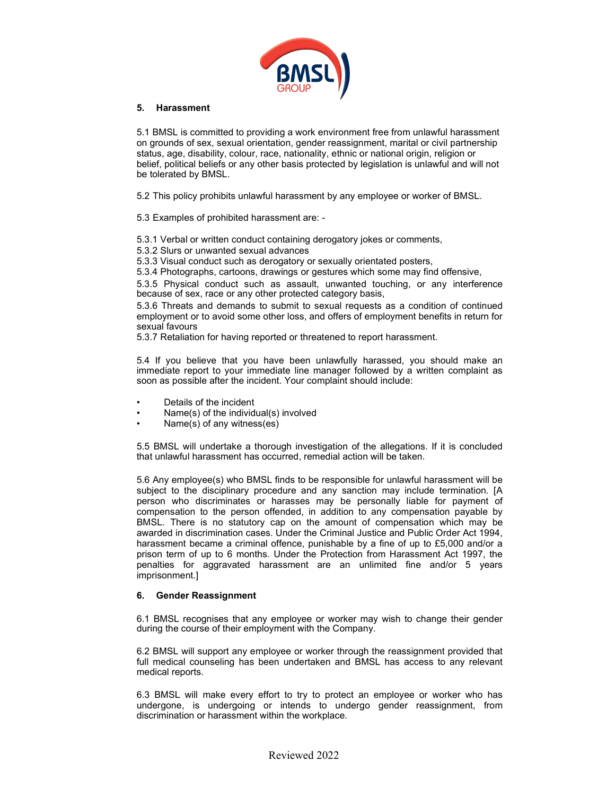

### 5. Harassment

5.1 BMSL is committed to providing a work environment free from unlawful harassment on grounds of sex, sexual orientation, gender reassignment, marital or civil partnership status, age, disability, colour, race, nationality, ethnic or national origin, religion or belief, political beliefs or any other basis protected by legislation is unlawful and will not be tolerated by BMSL.

5.2 This policy prohibits unlawful harassment by any employee or worker of BMSL.

5.3 Examples of prohibited harassment are: -

5.3.1 Verbal or written conduct containing derogatory jokes or comments,

5.3.2 Slurs or unwanted sexual advances

5.3.3 Visual conduct such as derogatory or sexually orientated posters,

5.3.4 Photographs, cartoons, drawings or gestures which some may find offensive,

5.3.5 Physical conduct such as assault, unwanted touching, or any interference because of sex, race or any other protected category basis,

5.3.6 Threats and demands to submit to sexual requests as a condition of continued employment or to avoid some other loss, and offers of employment benefits in return for sexual favours

5.3.7 Retaliation for having reported or threatened to report harassment.

5.4 If you believe that you have been unlawfully harassed, you should make an immediate report to your immediate line manager followed by a written complaint as soon as possible after the incident. Your complaint should include:

- Details of the incident
- Name(s) of the individual(s) involved
- Name(s) of any witness(es)

5.5 BMSL will undertake a thorough investigation of the allegations. If it is concluded that unlawful harassment has occurred, remedial action will be taken.

5.6 Any employee(s) who BMSL finds to be responsible for unlawful harassment will be subject to the disciplinary procedure and any sanction may include termination. [A person who discriminates or harasses may be personally liable for payment of compensation to the person offended, in addition to any compensation payable by BMSL. There is no statutory cap on the amount of compensation which may be awarded in discrimination cases. Under the Criminal Justice and Public Order Act 1994, harassment became a criminal offence, punishable by a fine of up to £5,000 and/or a prison term of up to 6 months. Under the Protection from Harassment Act 1997, the penalties for aggravated harassment are an unlimited fine and/or 5 years imprisonment.]

### 6. Gender Reassignment

6.1 BMSL recognises that any employee or worker may wish to change their gender during the course of their employment with the Company.

6.2 BMSL will support any employee or worker through the reassignment provided that full medical counseling has been undertaken and BMSL has access to any relevant medical reports.

6.3 BMSL will make every effort to try to protect an employee or worker who has undergone, is undergoing or intends to undergo gender reassignment, from discrimination or harassment within the workplace.